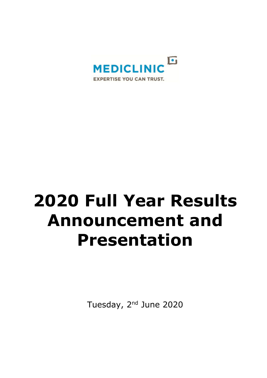

# **2020 Full Year Results Announcement and Presentation**

Tuesday, 2<sup>nd</sup> June 2020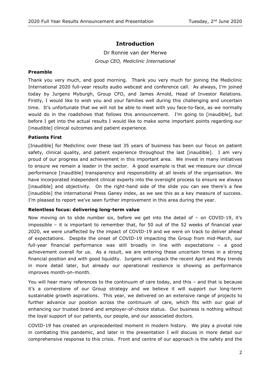# **Introduction**

Dr Ronnie van der Merwe *Group CEO, Mediclinic International*

# **Preamble**

Thank you very much, and good morning. Thank you very much for joining the Mediclinic International 2020 full-year results audio webcast and conference call. As always, I'm joined today by Jurgens Myburgh, Group CFO, and James Arnold, Head of Investor Relations. Firstly, I would like to wish you and your families well during this challenging and uncertain time. It's unfortunate that we will not be able to meet with you face-to-face, as we normally would do in the roadshows that follows this announcement. I'm going to [inaudible], but before I get into the actual results I would like to make some important points regarding our [inaudible] clinical outcomes and patient experience.

# **Patients First**

[Inaudible] for Mediclinic over these last 35 years of business has been our focus on patient safety, clinical quality, and patient experience throughout the last [inaudible]. I am very proud of our progress and achievement in this important area. We invest in many initiatives to ensure we remain a leader in the sector. A good example is that we measure our clinical performance [inaudible] transparency and responsibility at all levels of the organisation. We have incorporated independent clinical experts into the oversight process to ensure we always [inaudible] and objectivity. On the right-hand side of the slide you can see there's a few [inaudible] the international Press Ganey index, as we see this as a key measure of success. I'm pleased to report we've seen further improvement in this area during the year.

#### **Relentless focus: delivering long-term value**

Now moving on to slide number six, before we get into the detail of – on COVID-19, it's impossible – it is important to remember that, for 50 out of the 52 weeks of financial year 2020, we were unaffected by the impact of COVID-19 and we were on track to deliver ahead of expectations. Despite the onset of COVID-19 impacting the Group from mid-March, our full-year financial performance was still broadly in line with expectations – a good achievement overall for us. As a result, we are entering these uncertain times in a strong financial position and with good liquidity. Jurgens will unpack the recent April and May trends in more detail later, but already our operational resilience is showing as performance improves month-on-month.

You will hear many references to the continuum of care today, and this – and that is because it's a cornerstone of our Group strategy and we believe it will support our long-term sustainable growth aspirations. This year, we delivered on an extensive range of projects to further advance our position across the continuum of care, which fits with our goal of enhancing our trusted brand and employer-of-choice status. Our business is nothing without the loyal support of our patients, our people, and our associated doctors.

COVID-19 has created an unprecedented moment in modern history. We play a pivotal role in combating this pandemic, and later in the presentation I will discuss in more detail our comprehensive response to this crisis. Front and centre of our approach is the safety and the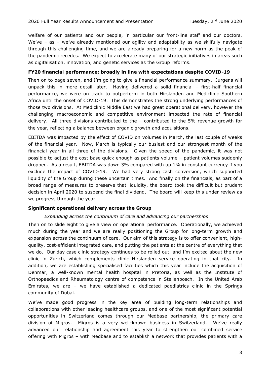welfare of our patients and our people, in particular our front-line staff and our doctors. We've - as - we've already mentioned our agility and adaptability as we skilfully navigate through this challenging time, and we are already preparing for a new norm as the peak of the pandemic recedes. We expect to accelerate many of our strategic initiatives in areas such as digitalisation, innovation, and genetic services as the Group reforms.

#### **FY20 financial performance: broadly in line with expectations despite COVID-19**

Then on to page seven, and I'm going to give a financial performance summary. Jurgens will unpack this in more detail later. Having delivered a solid financial – first-half financial performance, we were on track to outperform in both Hirslanden and Mediclinic Southern Africa until the onset of COVID-19. This demonstrates the strong underlying performances of those two divisions. At Mediclinic Middle East we had great operational delivery, however the challenging macroeconomic and competitive environment impacted the rate of financial delivery. All three divisions contributed to the – contributed to the 5% revenue growth for the year, reflecting a balance between organic growth and acquisitions.

EBITDA was impacted by the effect of COVID on volumes in March, the last couple of weeks of the financial year. Now, March is typically our busiest and our strongest month of the financial year in all three of the divisions. Given the speed of the pandemic, it was not possible to adjust the cost base quick enough as patients volume – patient volumes suddenly dropped. As a result, EBITDA was down 3% compared with up 1% in constant currency if you exclude the impact of COVID-19. We had very strong cash conversion, which supported liquidity of the Group during these uncertain times. And finally on the financials, as part of a broad range of measures to preserve that liquidity, the board took the difficult but prudent decision in April 2020 to suspend the final dividend. The board will keep this under review as we progress through the year.

#### **Significant operational delivery across the Group**

#### *Expanding across the continuum of care and advancing our partnerships*

Then on to slide eight to give a view on operational performance. Operationally, we achieved much during the year and we are really positioning the Group for long-term growth and expansion across the continuum of care. Our aim of this strategy is to offer convenient, highquality, cost-efficient integrated care, and putting the patients at the centre of everything that we do. Our day case clinic strategy continues to be rolled out, and I'm excited about the new clinic in Zurich, which complements clinic Hirslanden service operating in that city. In addition, we are establishing specialised facilities which this year include the acquisition of Denmar, a well-known mental health hospital in Pretoria, as well as the Institute of Orthopaedics and Rheumatology centre of competence in Stellenbosch. In the United Arab Emirates, we are – we have established a dedicated paediatrics clinic in the Springs community of Dubai.

We've made good progress in the key area of building long-term relationships and collaborations with other leading healthcare groups, and one of the most significant potential opportunities in Switzerland comes through our Medbase partnership, the primary care division of Migros. Migros is a very well-known business in Switzerland. We've really advanced our relationship and agreement this year to strengthen our combined service offering with Migros – with Medbase and to establish a network that provides patients with a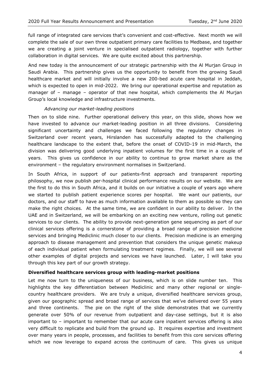full range of integrated care services that's convenient and cost-effective. Next month we will complete the sale of our own three outpatient primary care facilities to Medbase, and together we are creating a joint venture in specialised outpatient radiology, together with further collaboration in digital services. We are quite excited about this partnership.

And new today is the announcement of our strategic partnership with the Al Murjan Group in Saudi Arabia. This partnership gives us the opportunity to benefit from the growing Saudi healthcare market and will initially involve a new 200-bed acute care hospital in Jeddah, which is expected to open in mid-2022. We bring our operational expertise and reputation as manager of – manage – operator of that new hospital, which complements the Al Murjan Group's local knowledge and infrastructure investments.

#### *Advancing our market-leading positions*

Then on to slide nine. Further operational delivery this year, on this slide, shows how we have invested to advance our market-leading position in all three divisions. Considering significant uncertainty and challenges we faced following the regulatory changes in Switzerland over recent years, Hirslanden has successfully adapted to the challenging healthcare landscape to the extent that, before the onset of COVID-19 in mid-March, the division was delivering good underlying inpatient volumes for the first time in a couple of years. This gives us confidence in our ability to continue to grow market share as the environment – the regulatory environment normalises in Switzerland.

In South Africa, in support of our patients-first approach and transparent reporting philosophy, we now publish per-hospital clinical performance results on our website. We are the first to do this in South Africa, and it builds on our initiative a couple of years ago where we started to publish patient experience scores per hospital. We want our patients, our doctors, and our staff to have as much information available to them as possible so they can make the right choices. At the same time, we are confident in our ability to deliver. In the UAE and in Switzerland, we will be embarking on an exciting new venture, rolling out genetic services to our clients. The ability to provide next-generation gene sequencing as part of our clinical services offering is a cornerstone of providing a broad range of precision medicine services and bringing Mediclinic much closer to our clients. Precision medicine is an emerging approach to disease management and prevention that considers the unique genetic makeup of each individual patient when formulating treatment regimes. Finally, we will see several other examples of digital projects and services we have launched. Later, I will take you through this key part of our growth strategy.

#### **Diversified healthcare services group with leading-market positions**

Let me now turn to the uniqueness of our business, which is on slide number ten. This highlights the key differentiation between Mediclinic and many other regional or singlecountry healthcare providers. We are truly a unique, diversified healthcare services group, given our geographic spread and broad range of services that we've delivered over 55 years and three continents. The pie on the right of the slide demonstrates that we currently generate over 50% of our revenue from outpatient and day-case settings, but it is also important to – important to remember that our acute care inpatient services offering is also very difficult to replicate and build from the ground up. It requires expertise and investment over many years in people, processes, and facilities to benefit from this core services offering which we now leverage to expand across the continuum of care. This gives us unique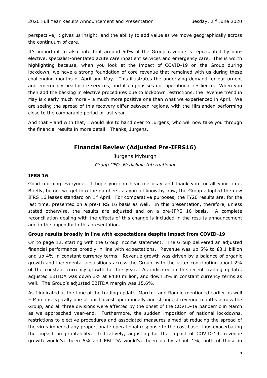perspective, it gives us insight, and the ability to add value as we move geographically across the continuum of care.

It's important to also note that around 50% of the Group revenue is represented by nonelective, specialist-orientated acute care inpatient services and emergency care. This is worth highlighting because, when you look at the impact of COVID-19 on the Group during lockdown, we have a strong foundation of core revenue that remained with us during these challenging months of April and May. This illustrates the underlying demand for our urgent and emergency healthcare services, and it emphasises our operational resilience. When you then add the backlog in elective procedures due to lockdown restrictions, the revenue trend in May is clearly much more – a much more positive one than what we experienced in April. We are seeing the spread of this recovery differ between regions, with the Hirslanden performing close to the comparable period of last year.

And that – and with that, I would like to hand over to Jurgens, who will now take you through the financial results in more detail. Thanks, Jurgens.

# **Financial Review (Adjusted Pre-IFRS16)**

Jurgens Myburgh *Group CFO, Mediclinic International*

#### **IFRS 16**

Good morning everyone. I hope you can hear me okay and thank you for all your time. Briefly, before we get into the numbers, as you all know by now, the Group adopted the new IFRS 16 leases standard on 1<sup>st</sup> April. For comparative purposes, the FY20 results are, for the last time, presented on a pre-IFRS 16 basis as well. In this presentation, therefore, unless stated otherwise, the results are adjusted and on a pre-IFRS 16 basis. A complete reconciliation dealing with the effects of this change is included in the results announcement and in the appendix to this presentation.

# **Group results broadly in line with expectations despite impact from COVID-19**

On to page 12, starting with the Group income statement. The Group delivered an adjusted financial performance broadly in line with expectations. Revenue was up 5% to  $£3.1$  billion and up 4% in constant currency terms. Revenue growth was driven by a balance of organic growth and incremental acquisitions across the Group, with the latter contributing about 2% of the constant currency growth for the year. As indicated in the recent trading update, adjusted EBITDA was down 3% at £480 million, and down 3% in constant currency terms as well. The Group's adjusted EBITDA margin was 15.6%.

As I indicated at the time of the trading update, March – and Ronnie mentioned earlier as well – March is typically one of our busiest operationally and strongest revenue months across the Group, and all three divisions were affected by the onset of the COVID-19 pandemic in March as we approached year-end. Furthermore, the sudden imposition of national lockdowns, restrictions to elective procedures and associated measures aimed at reducing the spread of the virus impeded any proportionate operational response to the cost base, thus exacerbating the impact on profitability. Indicatively, adjusting for the impact of COVID-19, revenue growth would've been 5% and EBITDA would've been up by about 1%, both of those in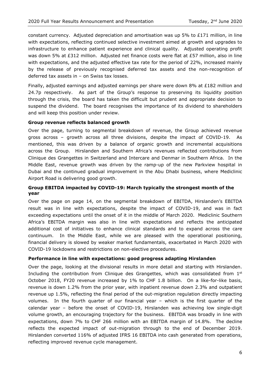constant currency. Adjusted depreciation and amortisation was up 5% to £171 million, in line with expectations, reflecting continued selective investment aimed at growth and upgrades to infrastructure to enhance patient experience and clinical quality. Adjusted operating profit was down 5% at £312 million. Adjusted net finance costs were flat at £57 million, also in line with expectations, and the adjusted effective tax rate for the period of 22%, increased mainly by the release of previously recognised deferred tax assets and the non-recognition of deferred tax assets in – on Swiss tax losses.

Finally, adjusted earnings and adjusted earnings per share were down 8% at £182 million and 24.7p respectively. As part of the Group's response to preserving its liquidity position through the crisis, the board has taken the difficult but prudent and appropriate decision to suspend the dividend. The board recognises the importance of its dividend to shareholders and will keep this position under review.

#### **Group revenue reflects balanced growth**

Over the page, turning to segmental breakdown of revenue, the Group achieved revenue gross across – growth across all three divisions, despite the impact of COVID-19. As mentioned, this was driven by a balance of organic growth and incremental acquisitions across the Group. Hirslanden and Southern Africa's revenues reflected contributions from Clinique des Grangettes in Switzerland and Intercare and Denmar in Southern Africa. In the Middle East, revenue growth was driven by the ramp-up of the new Parkview hospital in Dubai and the continued gradual improvement in the Abu Dhabi business, where Mediclinic Airport Road is delivering good growth.

# **Group EBITDA impacted by COVID-19: March typically the strongest month of the year**

Over the page on page 14, on the segmental breakdown of EBITDA, Hirslanden's EBITDA result was in line with expectations, despite the impact of COVID-19, and was in fact exceeding expectations until the onset of it in the middle of March 2020. Mediclinic Southern Africa's EBITDA margin was also in line with expectations and reflects the anticipated additional cost of initiatives to enhance clinical standards and to expand across the care continuum. In the Middle East, while we are pleased with the operational positioning, financial delivery is slowed by weaker market fundamentals, exacerbated in March 2020 with COVID-19 lockdowns and restrictions on non-elective procedures.

#### **Performance in line with expectations: good progress adapting Hirslanden**

Over the page, looking at the divisional results in more detail and starting with Hirslanden. Including the contribution from Clinique des Grangettes, which was consolidated from  $1<sup>st</sup>$ October 2018, FY20 revenue increased by 1% to CHF 1.8 billion. On a like-for-like basis, revenue is down 1.2% from the prior year, with inpatient revenue down 2.3% and outpatient revenue up 1.5%, reflecting the final period of the out-migration regulation directly impacting volumes. In the fourth quarter of our financial year – which is the first quarter of the calendar year – before the onset of COVID-19, Hirslanden was achieving low single-digit volume growth, an encouraging trajectory for the business. EBITDA was broadly in line with expectations, down 7% to CHF 266 million with an EBITDA margin of 14.8%. The decline reflects the expected impact of out-migration through to the end of December 2019. Hirslanden converted 116% of adjusted IFRS 16 EBITDA into cash generated from operations, reflecting improved revenue cycle management.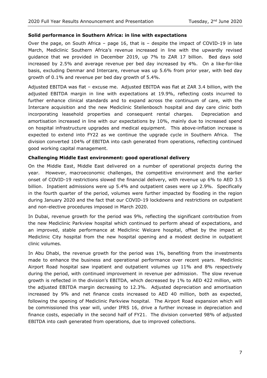#### **Solid performance in Southern Africa: in line with expectations**

Over the page, on South Africa – page 16, that is – despite the impact of COVID-19 in late March, Mediclinic Southern Africa's revenue increased in line with the upwardly revised guidance that we provided in December 2019, up 7% to ZAR 17 billion. Bed days sold increased by 2.5% and average revenue per bed day increased by 4%. On a like-for-like basis, excluding Denmar and Intercare, revenue was up 5.6% from prior year, with bed day growth of 0.1% and revenue per bed day growth of 5.4%.

Adjusted EBITDA was flat – excuse me. Adjusted EBITDA was flat at ZAR 3.4 billion, with the adjusted EBITDA margin in line with expectations at 19.9%, reflecting costs incurred to further enhance clinical standards and to expand across the continuum of care, with the Intercare acquisition and the new Mediclinic Stellenbosch hospital and day care clinic both incorporating leasehold properties and consequent rental charges. Depreciation and amortisation increased in line with our expectations by 10%, mainly due to increased spend on hospital infrastructure upgrades and medical equipment. This above-inflation increase is expected to extend into FY22 as we continue the upgrade cycle in Southern Africa. The division converted 104% of EBITDA into cash generated from operations, reflecting continued good working capital management.

#### **Challenging Middle East environment: good operational delivery**

On the Middle East, Middle East delivered on a number of operational projects during the year. However, macroeconomic challenges, the competitive environment and the earlier onset of COVID-19 restrictions slowed the financial delivery, with revenue up 6% to AED 3.5 billion. Inpatient admissions were up 5.4% and outpatient cases were up 2.9%. Specifically in the fourth quarter of the period, volumes were further impacted by flooding in the region during January 2020 and the fact that our COVID-19 lockdowns and restrictions on outpatient and non-elective procedures imposed in March 2020.

In Dubai, revenue growth for the period was 9%, reflecting the significant contribution from the new Mediclinic Parkview hospital which continued to perform ahead of expectations, and an improved, stable performance at Mediclinic Welcare hospital, offset by the impact at Mediclinic City hospital from the new hospital opening and a modest decline in outpatient clinic volumes.

In Abu Dhabi, the revenue growth for the period was 1%, benefiting from the investments made to enhance the business and operational performance over recent years. Mediclinic Airport Road hospital saw inpatient and outpatient volumes up 11% and 8% respectively during the period, with continued improvement in revenue per admission. The slow revenue growth is reflected in the division's EBITDA, which decreased by 1% to AED 422 million, with the adjusted EBITDA margin decreasing to 12.3%. Adjusted depreciation and amortisation increased by 9% and net finance costs increased to AED 40 million, both as expected, following the opening of Mediclinic Parkview hospital. The Airport Road expansion which will be commissioned this year will, under IFRS 16, drive a further increase in depreciation and finance costs, especially in the second half of FY21. The division converted 98% of adjusted EBITDA into cash generated from operations, due to improved collections.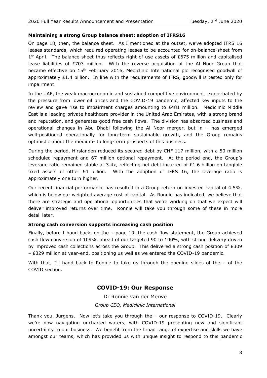#### **Maintaining a strong Group balance sheet: adoption of IFRS16**

On page 18, then, the balance sheet. As I mentioned at the outset, we've adopted IFRS 16 leases standards, which required operating leases to be accounted for on-balance-sheet from  $1<sup>st</sup>$  April. The balance sheet thus reflects right-of-use assets of £675 million and capitalised lease liabilities of £703 million. With the reverse acquisition of the Al Noor Group that became effective on 15<sup>th</sup> February 2016, Mediclinic International plc recognised goodwill of approximately £1.4 billion. In line with the requirements of IFRS, goodwill is tested only for impairment.

In the UAE, the weak macroeconomic and sustained competitive environment, exacerbated by the pressure from lower oil prices and the COVID-19 pandemic, affected key inputs to the review and gave rise to impairment charges amounting to  $E481$  million. Mediclinic Middle East is a leading private healthcare provider in the United Arab Emirates, with a strong brand and reputation, and generates good free cash flows. The division has absorbed business and operational changes in Abu Dhabi following the Al Noor merger, but in – has emerged well-positioned operationally for long-term sustainable growth, and the Group remains optimistic about the medium- to long-term prospects of this business.

During the period, Hirslanden reduced its secured debt by CHF 117 million, with a 50 million scheduled repayment and 67 million optional repayment. At the period end, the Group's leverage ratio remained stable at 3.4x, reflecting net debt incurred of £1.6 billion on tangible fixed assets of other  $E4$  billion. With the adoption of IFRS 16, the leverage ratio is approximately one turn higher.

Our recent financial performance has resulted in a Group return on invested capital of 4.5%, which is below our weighted average cost of capital. As Ronnie has indicated, we believe that there are strategic and operational opportunities that we're working on that we expect will deliver improved returns over time. Ronnie will take you through some of these in more detail later.

#### **Strong cash conversion supports increasing cash position**

Finally, before I hand back, on the – page 19, the cash flow statement, the Group achieved cash flow conversion of 109%, ahead of our targeted 90 to 100%, with strong delivery driven by improved cash collections across the Group. This delivered a strong cash position of £309 – £329 million at year-end, positioning us well as we entered the COVID-19 pandemic.

With that, I'll hand back to Ronnie to take us through the opening slides of the  $-$  of the COVID section.

# **COVID-19: Our Response**

Dr Ronnie van der Merwe *Group CEO, Mediclinic International*

Thank you, Jurgens. Now let's take you through the – our response to COVID-19. Clearly we're now navigating uncharted waters, with COVID-19 presenting new and significant uncertainty to our business. We benefit from the broad range of expertise and skills we have amongst our teams, which has provided us with unique insight to respond to this pandemic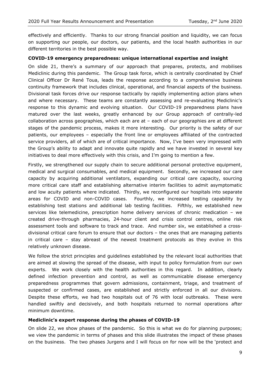effectively and efficiently. Thanks to our strong financial position and liquidity, we can focus on supporting our people, our doctors, our patients, and the local health authorities in our different territories in the best possible way.

#### **COVID-19 emergency preparedness: unique international expertise and insight**

On slide 21, there's a summary of our approach that prepares, protects, and mobilises Mediclinic during this pandemic. The Group task force, which is centrally coordinated by Chief Clinical Officer Dr René Toua, leads the response according to a comprehensive business continuity framework that includes clinical, operational, and financial aspects of the business. Divisional task forces drive our response tactically by rapidly implementing action plans when and where necessary. These teams are constantly assessing and re-evaluating Mediclinic's response to this dynamic and evolving situation. Our COVID-19 preparedness plans have matured over the last weeks, greatly enhanced by our Group approach of centrally-led collaboration across geographies, which each are at – each of our geographies are at different stages of the pandemic process, makes it more interesting. Our priority is the safety of our patients, our employees – especially the front line or employees affiliated of the contracted service providers, all of which are of critical importance. Now, I've been very impressed with the Group's ability to adapt and innovate quite rapidly and we have invested in several key initiatives to deal more effectively with this crisis, and I'm going to mention a few.

Firstly, we strengthened our supply chain to secure additional personal protective equipment, medical and surgical consumables, and medical equipment. Secondly, we increased our care capacity by acquiring additional ventilators, expanding our critical care capacity, sourcing more critical care staff and establishing alternative interim facilities to admit asymptomatic and low acuity patients where indicated. Thirdly, we reconfigured our hospitals into separate areas for COVID and non-COVID cases. Fourthly, we increased testing capability by establishing test stations and additional lab testing facilities. Fifthly, we established new services like telemedicine, prescription home delivery services of chronic medication – we created drive-through pharmacies, 24-hour client and crisis control centres, online risk assessment tools and software to track and trace. And number six, we established a crossdivisional critical care forum to ensure that our doctors – the ones that are managing patients in critical care – stay abreast of the newest treatment protocols as they evolve in this relatively unknown disease.

We follow the strict principles and guidelines established by the relevant local authorities that are aimed at slowing the spread of the disease, with input to policy formulation from our own experts. We work closely with the health authorities in this regard. In addition, clearly defined infection prevention and control, as well as communicable disease emergency preparedness programmes that govern admissions, containment, triage, and treatment of suspected or confirmed cases, are established and strictly enforced in all our divisions. Despite these efforts, we had two hospitals out of 76 with local outbreaks. These were handled swiftly and decisively, and both hospitals returned to normal operations after minimum downtime.

#### **Mediclinic's expert response during the phases of COVID-19**

On slide 22, we show phases of the pandemic. So this is what we do for planning purposes; we view the pandemic in terms of phases and this slide illustrates the impact of these phases on the business. The two phases Jurgens and I will focus on for now will be the 'protect and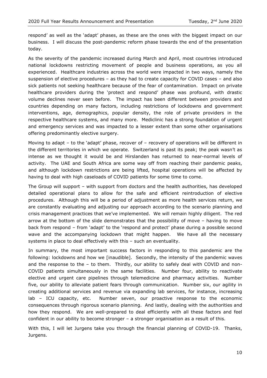respond' as well as the 'adapt' phases, as these are the ones with the biggest impact on our business. I will discuss the post-pandemic reform phase towards the end of the presentation today.

As the severity of the pandemic increased during March and April, most countries introduced national lockdowns restricting movement of people and business operations, as you all experienced. Healthcare industries across the world were impacted in two ways, namely the suspension of elective procedures – as they had to create capacity for COVID cases – and also sick patients not seeking healthcare because of the fear of contamination. Impact on private healthcare providers during the 'protect and respond' phase was profound, with drastic volume declines never seen before. The impact has been different between providers and countries depending on many factors, including restrictions of lockdowns and government interventions, age, demographics, popular density, the role of private providers in the respective healthcare systems, and many more. Mediclinic has a strong foundation of urgent and emergency services and was impacted to a lesser extent than some other organisations offering predominantly elective surgery.

Moving to adapt – to the 'adapt' phase, recover of – recovery of operations will be different in the different territories in which we operate. Switzerland is past its peak; the peak wasn't as intense as we thought it would be and Hirslanden has returned to near-normal levels of activity. The UAE and South Africa are some way off from reaching their pandemic peaks, and although lockdown restrictions are being lifted, hospital operations will be affected by having to deal with high caseloads of COVID patients for some time to come.

The Group will support – with support from doctors and the health authorities, has developed detailed operational plans to allow for the safe and efficient reintroduction of elective procedures. Although this will be a period of adjustment as more health services return, we are constantly evaluating and adjusting our approach according to the scenario planning and crisis management practices that we've implemented. We will remain highly diligent. The red arrow at the bottom of the slide demonstrates that the possibility of move – having to move back from respond – from 'adapt' to the 'respond and protect' phase during a possible second wave and the accompanying lockdown that might happen. We have all the necessary systems in place to deal effectively with this – such an eventuality.

In summary, the most important success factors in responding to this pandemic are the following: lockdowns and how we [inaudible]. Secondly, the intensity of the pandemic waves and the response to the – to them. Thirdly, our ability to safely deal with COVID and non-COVID patients simultaneously in the same facilities. Number four, ability to reactivate elective and urgent care pipelines through telemedicine and pharmacy activities. Number five, our ability to alleviate patient fears through communication. Number six, our agility in creating additional services and revenue via expanding lab services, for instance, increasing lab – ICU capacity, etc. Number seven, our proactive response to the economic consequences through rigorous scenario planning. And lastly, dealing with the authorities and how they respond. We are well-prepared to deal efficiently with all these factors and feel confident in our ability to become stronger – a stronger organisation as a result of this.

With this, I will let Jurgens take you through the financial planning of COVID-19. Thanks, Jurgens.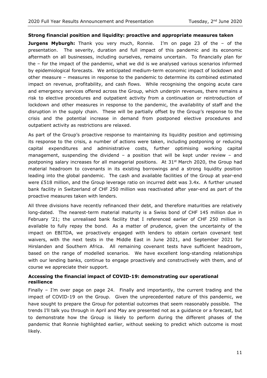#### **Strong financial position and liquidity: proactive and appropriate measures taken**

**Jurgens Myburgh:** Thank you very much, Ronnie. I'm on page 23 of the – of the presentation. The severity, duration and full impact of this pandemic and its economic aftermath on all businesses, including ourselves, remains uncertain. To financially plan for the – for the impact of the pandemic, what we did is we analysed various scenarios informed by epidemiological forecasts. We anticipated medium-term economic impact of lockdown and other measure – measures in response to the pandemic to determine its combined estimated impact on revenue, profitability, and cash flows. While recognising the ongoing acute care and emergency services offered across the Group, which underpin revenues, there remains a risk to elective procedures and outpatient activity from a continuation or reintroduction of lockdown and other measures in response to the pandemic, the availability of staff and the disruption in the supply chain. These will be partially offset by the Group's response to the crisis and the potential increase in demand from postponed elective procedures and outpatient activity as restrictions are relaxed.

As part of the Group's proactive response to maintaining its liquidity position and optimising its response to the crisis, a number of actions were taken, including postponing or reducing capital expenditures and administrative costs, further optimising working capital management, suspending the dividend – a position that will be kept under review – and postponing salary increases for all managerial positions. At 31<sup>st</sup> March 2020, the Group had material headroom to covenants in its existing borrowings and a strong liquidity position leading into the global pandemic. The cash and available facilities of the Group at year-end were £518 million, and the Group leverage ratio on incurred debt was 3.4x. A further unused bank facility in Switzerland of CHF 250 million was reactivated after year-end as part of the proactive measures taken with lenders.

All three divisions have recently refinanced their debt, and therefore maturities are relatively long-dated. The nearest-term material maturity is a Swiss bond of CHF 145 million due in February '21; the unrealised bank facility that I referenced earlier of CHF 250 million is available to fully repay the bond. As a matter of prudence, given the uncertainty of the impact on EBITDA, we proactively engaged with lenders to obtain certain covenant test waivers, with the next tests in the Middle East in June 2021, and September 2021 for Hirslanden and Southern Africa. All remaining covenant tests have sufficient headroom, based on the range of modelled scenarios. We have excellent long-standing relationships with our lending banks, continue to engage proactively and constructively with them, and of course we appreciate their support.

#### **Accessing the financial impact of COVID-19: demonstrating our operational resilience**

Finally – I'm over page on page 24. Finally and importantly, the current trading and the impact of COVID-19 on the Group. Given the unprecedented nature of this pandemic, we have sought to prepare the Group for potential outcomes that seem reasonably possible. The trends I'll talk you through in April and May are presented not as a guidance or a forecast, but to demonstrate how the Group is likely to perform during the different phases of the pandemic that Ronnie highlighted earlier, without seeking to predict which outcome is most likely.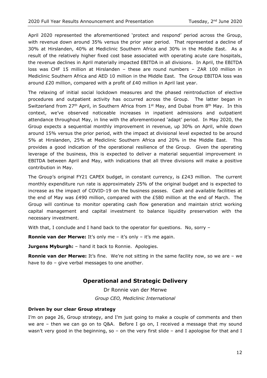April 2020 represented the aforementioned 'protect and respond' period across the Group, with revenue down around 35% versus the prior year period. That represented a decline of 30% at Hirslanden, 40% at Mediclinic Southern Africa and 30% in the Middle East. As a result of the relatively higher fixed cost base associated with operating acute care hospitals, the revenue declines in April materially impacted EBITDA in all divisions. In April, the EBITDA loss was CHF 15 million at Hirslanden – these are round numbers – ZAR 100 million in Mediclinic Southern Africa and AED 10 million in the Middle East. The Group EBITDA loss was around £20 million, compared with a profit of £40 million in April last year.

The relaxing of initial social lockdown measures and the phased reintroduction of elective procedures and outpatient activity has occurred across the Group. The latter began in Switzerland from 27<sup>th</sup> April, in Southern Africa from 1<sup>st</sup> May, and Dubai from 8<sup>th</sup> May. In this context, we've observed noticeable increases in inpatient admissions and outpatient attendance throughout May, in line with the aforementioned 'adapt' period. In May 2020, the Group expects a sequential monthly improvement in revenue, up 30% on April, while down around 15% versus the prior period, with the impact at divisional level expected to be around 5% at Hirslanden, 25% at Mediclinic Southern Africa and 20% in the Middle East. This provides a good indication of the operational resilience of the Group. Given the operating leverage of the business, this is expected to deliver a material sequential improvement in EBITDA between April and May, with indications that all three divisions will make a positive contribution in May.

The Group's original FY21 CAPEX budget, in constant currency, is £243 million. The current monthly expenditure run rate is approximately 25% of the original budget and is expected to increase as the impact of COVID-19 on the business passes. Cash and available facilities at the end of May was £490 million, compared with the £580 million at the end of March. The Group will continue to monitor operating cash flow generation and maintain strict working capital management and capital investment to balance liquidity preservation with the necessary investment.

With that, I conclude and I hand back to the operator for questions. No, sorry -

**Ronnie van der Merwe:** It's only me – it's only – it's me again.

**Jurgens Myburgh:** – hand it back to Ronnie. Apologies.

**Ronnie van der Merwe:** It's fine. We're not sitting in the same facility now, so we are - we have to do – give verbal messages to one another.

# **Operational and Strategic Delivery**

Dr Ronnie van der Merwe *Group CEO, Mediclinic International*

#### **Driven by our clear Group strategy**

I'm on page 26, Group strategy, and I'm just going to make a couple of comments and then we are – then we can go on to Q&A. Before I go on, I received a message that my sound wasn't very good in the beginning, so – on the very first slide – and I apologise for that and I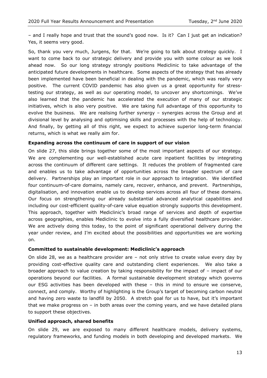– and I really hope and trust that the sound's good now. Is it? Can I just get an indication? Yes, it seems very good.

So, thank you very much, Jurgens, for that. We're going to talk about strategy quickly. I want to come back to our strategic delivery and provide you with some colour as we look ahead now. So our long strategy strongly positions Mediclinic to take advantage of the anticipated future developments in healthcare. Some aspects of the strategy that has already been implemented have been beneficial in dealing with the pandemic, which was really very positive. The current COVID pandemic has also given us a great opportunity for stresstesting our strategy, as well as our operating model, to uncover any shortcomings. We've also learned that the pandemic has accelerated the execution of many of our strategic initiatives, which is also very positive. We are taking full advantage of this opportunity to evolve the business. We are realising further synergy – synergies across the Group and at divisional level by analysing and optimising skills and processes with the help of technology. And finally, by getting all of this right, we expect to achieve superior long-term financial returns, which is what we really aim for.

#### **Expanding across the continuum of care in support of our vision**

On slide 27, this slide brings together some of the most important aspects of our strategy. We are complementing our well-established acute care inpatient facilities by integrating across the continuum of different care settings. It reduces the problem of fragmented care and enables us to take advantage of opportunities across the broader spectrum of care delivery. Partnerships play an important role in our approach to integration. We identified four continuum-of-care domains, namely care, recover, enhance, and prevent. Partnerships, digitalisation, and innovation enable us to develop services across all four of these domains. Our focus on strengthening our already substantial advanced analytical capabilities and including our cost-efficient quality-of-care value equation strongly supports this development. This approach, together with Mediclinic's broad range of services and depth of expertise across geographies, enables Mediclinic to evolve into a fully diversified healthcare provider. We are actively doing this today, to the point of significant operational delivery during the year under review, and I'm excited about the possibilities and opportunities we are working on.

#### **Committed to sustainable development: Mediclinic's approach**

On slide 28, we as a healthcare provider are – not only strive to create value every day by providing cost-effective quality care and outstanding client experiences. We also take a broader approach to value creation by taking responsibility for the impact of – impact of our operations beyond our facilities. A formal sustainable development strategy which governs our ESG activities has been developed with these – this in mind to ensure we conserve, connect, and comply. Worthy of highlighting is the Group's target of becoming carbon neutral and having zero waste to landfill by 2050. A stretch goal for us to have, but it's important that we make progress on  $-$  in both areas over the coming years, and we have detailed plans to support these objectives.

#### **Unified approach, shared benefits**

On slide 29, we are exposed to many different healthcare models, delivery systems, regulatory frameworks, and funding models in both developing and developed markets. We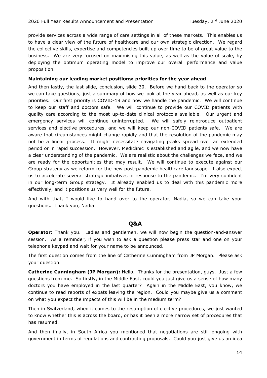provide services across a wide range of care settings in all of these markets. This enables us to have a clear view of the future of healthcare and our own strategic direction. We regard the collective skills, expertise and competencies built up over time to be of great value to the business. We are very focused on maximising this value, as well as the value of scale, by deploying the optimum operating model to improve our overall performance and value proposition.

#### **Maintaining our leading market positions: priorities for the year ahead**

And then lastly, the last slide, conclusion, slide 30. Before we hand back to the operator so we can take questions, just a summary of how we look at the year ahead, as well as our key priorities. Our first priority is COVID-19 and how we handle the pandemic. We will continue to keep our staff and doctors safe. We will continue to provide our COVID patients with quality care according to the most up-to-date clinical protocols available. Our urgent and emergency services will continue uninterrupted. We will safely reintroduce outpatient services and elective procedures, and we will keep our non-COVID patients safe. We are aware that circumstances might change rapidly and that the resolution of the pandemic may not be a linear process. It might necessitate navigating peaks spread over an extended period or in rapid succession. However, Mediclinic is established and agile, and we now have a clear understanding of the pandemic. We are realistic about the challenges we face, and we are ready for the opportunities that may result. We will continue to execute against our Group strategy as we reform for the new post-pandemic healthcare landscape. I also expect us to accelerate several strategic initiatives in response to the pandemic. I'm very confident in our long-term Group strategy. It already enabled us to deal with this pandemic more effectively, and it positions us very well for the future.

And with that, I would like to hand over to the operator, Nadia, so we can take your questions. Thank you, Nadia.

# **Q&A**

**Operator:** Thank you. Ladies and gentlemen, we will now begin the question-and-answer session. As a reminder, if you wish to ask a question please press star and one on your telephone keypad and wait for your name to be announced.

The first question comes from the line of Catherine Cunningham from JP Morgan. Please ask your question.

**Catherine Cunningham (JP Morgan):** Hello. Thanks for the presentation, guys. Just a few questions from me. So firstly, in the Middle East, could you just give us a sense of how many doctors you have employed in the last quarter? Again in the Middle East, you know, we continue to read reports of expats leaving the region. Could you maybe give us a comment on what you expect the impacts of this will be in the medium term?

Then in Switzerland, when it comes to the resumption of elective procedures, we just wanted to know whether this is across the board, or has it been a more narrow set of procedures that has resumed.

And then finally, in South Africa you mentioned that negotiations are still ongoing with government in terms of regulations and contracting proposals. Could you just give us an idea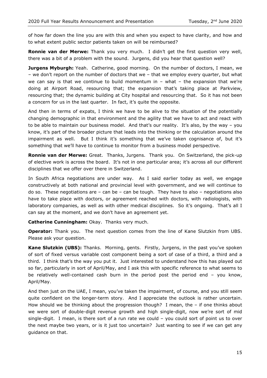of how far down the line you are with this and when you expect to have clarity, and how and to what extent public sector patients taken on will be reimbursed?

**Ronnie van der Merwe:** Thank you very much. I didn't get the first question very well, there was a bit of a problem with the sound. Jurgens, did you hear that question well?

**Jurgens Myburgh:** Yeah. Catherine, good morning. On the number of doctors, I mean, we – we don't report on the number of doctors that we – that we employ every quarter, but what we can say is that we continue to build momentum in  $-$  what  $-$  the expansion that we're doing at Airport Road, resourcing that; the expansion that's taking place at Parkview, resourcing that; the dynamic building at City hospital and resourcing that. So it has not been a concern for us in the last quarter. In fact, it's quite the opposite.

And then in terms of expats, I think we have to be alive to the situation of the potentially changing demographic in that environment and the agility that we have to act and react with to be able to maintain our business model. And that's our reality. It's also, by the way - you know, it's part of the broader picture that leads into the thinking or the calculation around the impairment as well. But I think it's something that we've taken cognisance of, but it's something that we'll have to continue to monitor from a business model perspective.

**Ronnie van der Merwe:** Great. Thanks, Jurgens. Thank you. On Switzerland, the pick-up of elective work is across the board. It's not in one particular area; it's across all our different disciplines that we offer over there in Switzerland.

In South Africa negotiations are under way. As I said earlier today as well, we engage constructively at both national and provincial level with government, and we will continue to do so. These negotiations are  $-$  can be  $-$  can be tough. They have to also  $-$  negotiations also have to take place with doctors, or agreement reached with doctors, with radiologists, with laboratory companies, as well as with other medical disciplines. So it's ongoing. That's all I can say at the moment, and we don't have an agreement yet.

**Catherine Cunningham:** Okay. Thanks very much.

**Operator:** Thank you. The next question comes from the line of Kane Slutzkin from UBS. Please ask your question.

**Kane Slutzkin (UBS):** Thanks. Morning, gents. Firstly, Jurgens, in the past you've spoken of sort of fixed versus variable cost component being a sort of case of a third, a third and a third. I think that's the way you put it. Just interested to understand how this has played out so far, particularly in sort of April/May, and I ask this with specific reference to what seems to be relatively well-contained cash burn in the period post the period end – you know, April/May.

And then just on the UAE, I mean, you've taken the impairment, of course, and you still seem quite confident on the longer-term story. And I appreciate the outlook is rather uncertain. How should we be thinking about the progression though? I mean, the – if one thinks about we were sort of double-digit revenue growth and high single-digit, now we're sort of mid single-digit. I mean, is there sort of a run rate we could – you could sort of point us to over the next maybe two years, or is it just too uncertain? Just wanting to see if we can get any guidance on that.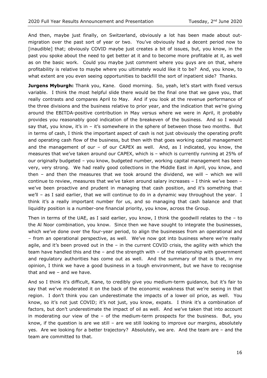And then, maybe just finally, on Switzerland, obviously a lot has been made about outmigration over the past sort of year or two. You've obviously had a decent period now to [inaudible] that; obviously COVID maybe just creates a bit of issues, but, you know, in the past you spoke about the need to get better at it and to become more profitable at it, as well as on the basic work. Could you maybe just comment where you guys are on that, where profitability is relative to maybe where you ultimately would like it to be? And, you know, to what extent are you even seeing opportunities to backfill the sort of inpatient side? Thanks.

**Jurgens Myburgh:** Thank you, Kane. Good morning. So, yeah, let's start with fixed versus variable. I think the most helpful slide there would be the final one that we gave you, that really contrasts and compares April to May. And if you look at the revenue performance of the three divisions and the business relative to prior year, and the indication that we're giving around the EBITDA-positive contribution in May versus where we were in April, it probably provides you reasonably good indication of the breakeven of the business. And so I would say that, you know, it's in - it's somewhere in the sphere of between those two months. But in terms of cash, I think the important aspect of cash is not just obviously the operating profit and operating cash flow of the business, but then with that goes working capital management and the management of our – of our CAPEX as well. And, as I indicated, you know, the measures that we've taken around our CAPEX, which is – which is currently running at 25% of our originally budgeted – you know, budgeted number, working capital management has been very, very strong. We had really good collections in the Middle East in April, you know, and then – and then the measures that we took around the dividend, we will – which we will continue to review, measures that we've taken around salary increases – I think we've been – we've been proactive and prudent in managing that cash position, and it's something that we'll – as I said earlier, that we will continue to do in a dynamic way throughout the year. I think it's a really important number for us, and so managing that cash balance and that liquidity position is a number-one financial priority, you know, across the Group.

Then in terms of the UAE, as I said earlier, you know, I think the goodwill relates to the – to the Al Noor combination, you know. Since then we have sought to integrate the businesses, which we've done over the four-year period, to align the businesses from an operational and – from an operational perspective, as well. We've now got into business where we're really agile, and it's been proved out in the – in the current COVID crisis, the agility with which the team have handled this and the – and the strength with – of the relationship with government and regulatory authorities has come out as well. And the summary of that is that, in my opinion, I think we have a good business in a tough environment, but we have to recognise that and we – and we have.

And so I think it's difficult, Kane, to credibly give you medium-term guidance, but it's fair to say that we've moderated it on the back of the economic weakness that we're seeing in that region. I don't think you can underestimate the impacts of a lower oil price, as well. You know, so it's not just COVID; it's not just, you know, expats. I think it's a combination of factors, but don't underestimate the impact of oil as well. And we've taken that into account in moderating our view of the – of the medium-term prospects for the business. But, you know, if the question is are we still – are we still looking to improve our margins, absolutely yes. Are we looking for a better trajectory? Absolutely, we are. And the team are – and the team are committed to that.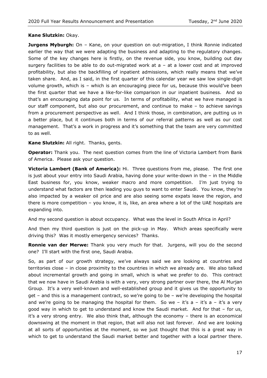#### **Kane Slutzkin:** Okay.

**Jurgens Myburgh:** On - Kane, on your question on out-migration, I think Ronnie indicated earlier the way that we were adapting the business and adapting to the regulatory changes. Some of the key changes here is firstly, on the revenue side, you know, building out day surgery facilities to be able to do out-migrated work at  $a - at a$  lower cost and at improved profitability, but also the backfilling of inpatient admissions, which really means that we've taken share. And, as I said, in the first quarter of this calendar year we saw low single-digit volume growth, which is – which is an encouraging piece for us, because this would've been the first quarter that we have a like-for-like comparison in our inpatient business. And so that's an encouraging data point for us. In terms of profitability, what we have managed is our staff component, but also our procurement, and continue to make – to achieve savings from a procurement perspective as well. And I think those, in combination, are putting us in a better place, but it continues both in terms of our referral patterns as well as our cost management. That's a work in progress and it's something that the team are very committed to as well.

**Kane Slutzkin:** All right. Thanks, gents.

**Operator:** Thank you. The next question comes from the line of Victoria Lambert from Bank of America. Please ask your question.

**Victoria Lambert (Bank of America):** Hi. Three questions from me, please. The first one is just about your entry into Saudi Arabia, having done your write-down in the – in the Middle East business for, you know, weaker macro and more competition. I'm just trying to understand what factors are then leading you guys to want to enter Saudi. You know, they're also impacted by a weaker oil price and are also seeing some expats leave the region, and there is more competition – you know, it is, like, an area where a lot of the UAE hospitals are expanding into.

And my second question is about occupancy. What was the level in South Africa in April?

And then my third question is just on the pick-up in May. Which areas specifically were driving this? Was it mostly emergency services? Thanks.

**Ronnie van der Merwe:** Thank you very much for that. Jurgens, will you do the second one? I'll start with the first one, Saudi Arabia.

So, as part of our growth strategy, we've always said we are looking at countries and territories close – in close proximity to the countries in which we already are. We also talked about incremental growth and going in small, which is what we prefer to do. This contract that we now have in Saudi Arabia is with a very, very strong partner over there, the Al Murjan Group. It's a very well-known and well-established group and it gives us the opportunity to get – and this is a management contract, so we're going to be – we're developing the hospital and we're going to be managing the hospital for them. So we - it's  $a - it's a - it's a very$ good way in which to get to understand and know the Saudi market. And for that – for us, it's a very strong entry. We also think that, although the economy – there is an economical downswing at the moment in that region, that will also not last forever. And we are looking at all sorts of opportunities at the moment, so we just thought that this is a great way in which to get to understand the Saudi market better and together with a local partner there.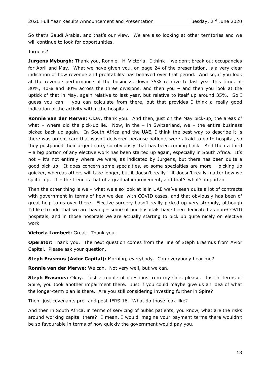So that's Saudi Arabia, and that's our view. We are also looking at other territories and we will continue to look for opportunities.

#### Jurgens?

**Jurgens Myburgh:** Thank you, Ronnie. Hi Victoria. I think - we don't break out occupancies for April and May. What we have given you, on page 24 of the presentation, is a very clear indication of how revenue and profitability has behaved over that period. And so, if you look at the revenue performance of the business, down 35% relative to last year this time, at 30%, 40% and 30% across the three divisions, and then you – and then you look at the uptick of that in May, again relative to last year, but relative to itself up around 35%. So I guess you can – you can calculate from there, but that provides I think a really good indication of the activity within the hospitals.

**Ronnie van der Merwe:** Okay, thank you. And then, just on the May pick-up, the areas of what – where did the pick-up lie. Now, in the – in Switzerland, we – the entire business picked back up again. In South Africa and the UAE, I think the best way to describe it is there was urgent care that wasn't delivered because patients were afraid to go to hospital, so they postponed their urgent care, so obviously that has been coming back. And then a third – a big portion of any elective work has been started up again, especially in South Africa. It's not – it's not entirely where we were, as indicated by Jurgens, but there has been quite a good pick-up. It does concern some specialties, so some specialties are more – picking up quicker, whereas others will take longer, but it doesn't really – it doesn't really matter how we split it up. It – the trend is that of a gradual improvement, and that's what's important.

Then the other thing is we – what we also look at is in UAE we've seen quite a lot of contracts with government in terms of how we deal with COVID cases, and that obviously has been of great help to us over there. Elective surgery hasn't really picked up very strongly, although I'd like to add that we are having – some of our hospitals have been dedicated as non-COVID hospitals, and in those hospitals we are actually starting to pick up quite nicely on elective work.

#### **Victoria Lambert:** Great. Thank you.

**Operator:** Thank you. The next question comes from the line of Steph Erasmus from Avior Capital. Please ask your question.

#### **Steph Erasmus (Avior Capital):** Morning, everybody. Can everybody hear me?

**Ronnie van der Merwe:** We can. Not very well, but we can.

**Steph Erasmus:** Okay. Just a couple of questions from my side, please. Just in terms of Spire, you took another impairment there. Just if you could maybe give us an idea of what the longer-term plan is there. Are you still considering investing further in Spire?

Then, just covenants pre- and post-IFRS 16. What do those look like?

And then in South Africa, in terms of servicing of public patients, you know, what are the risks around working capital there? I mean, I would imagine your payment terms there wouldn't be so favourable in terms of how quickly the government would pay you.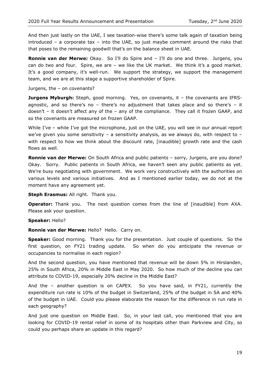And then just lastly on the UAE, I see taxation-wise there's some talk again of taxation being introduced – a corporate tax – into the UAE, so just maybe comment around the risks that that poses to the remaining goodwill that's on the balance sheet in UAE.

**Ronnie van der Merwe:** Okay. So I'll do Spire and – I'll do one and three. Jurgens, you can do two and four. Spire, we are – we like the UK market. We think it's a good market. It's a good company, it's well-run. We support the strategy, we support the management team, and we are at this stage a supportive shareholder of Spire.

Jurgens, the – on covenants?

**Jurgens Myburgh:** Steph, good morning. Yes, on covenants, it - the covenants are IFRSagnostic, and so there's no - there's no adjustment that takes place and so there's - it doesn't – it doesn't affect any of the – any of the compliance. They call it frozen GAAP, and so the covenants are measured on frozen GAAP.

While I've - while I've got the microphone, just on the UAE, you will see in our annual report we've given you some sensitivity – a sensitivity analysis, as we always do, with respect to – with respect to how we think about the discount rate, [inaudible] growth rate and the cash flows as well.

**Ronnie van der Merwe:** On South Africa and public patients – sorry, Jurgens, are you done? Okay. Sorry. Public patients in South Africa, we haven't seen any public patients as yet. We're busy negotiating with government. We work very constructively with the authorities on various levels and various initiatives. And as I mentioned earlier today, we do not at the moment have any agreement yet.

**Steph Erasmus:** All right. Thank you.

**Operator:** Thank you. The next question comes from the line of [inaudible] from AXA. Please ask your question.

#### **Speaker:** Hello?

**Ronnie van der Merwe:** Hello? Hello. Carry on.

**Speaker:** Good morning. Thank you for the presentation. Just couple of questions. So the first question, on FY21 trading update. So when do you anticipate the revenue or occupancies to normalise in each region?

And the second question, you have mentioned that revenue will be down 5% in Hirslanden, 25% in South Africa, 20% in Middle East in May 2020. So how much of the decline you can attribute to COVID-19, especially 20% decline in the Middle East?

And the – another question is on CAPEX. So you have said, in FY21, currently the expenditure run rate is 10% of the budget in Switzerland, 25% of the budget in SA and 40% of the budget in UAE. Could you please elaborate the reason for the difference in run rate in each geography?

And just one question on Middle East. So, in your last call, you mentioned that you are looking for COVID-19 rental relief in some of its hospitals other than Parkview and City, so could you perhaps share an update in this regard?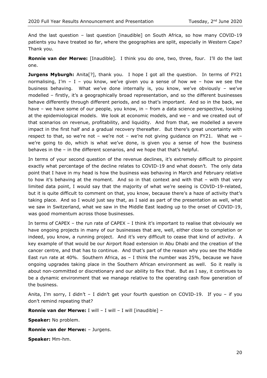And the last question – last question [inaudible] on South Africa, so how many COVID-19 patients you have treated so far, where the geographies are split, especially in Western Cape? Thank you.

**Ronnie van der Merwe:** [Inaudible]. I think you do one, two, three, four. I'll do the last one.

**Jurgens Myburgh:** Anita<sup>[?]</sup>, thank you. I hope I got all the question. In terms of FY21 normalising, I'm  $-$  I  $-$  you know, we've given you a sense of how we  $-$  how we see the business behaving. What we've done internally is, you know, we've obviously – we've modelled – firstly, it's a geographically broad representation, and so the different businesses behave differently through different periods, and so that's important. And so in the back, we have – we have some of our people, you know, in – from a data science perspective, looking at the epidemiological models. We look at economic models, and we – and we created out of that scenarios on revenue, profitability, and liquidity. And from that, we modelled a severe impact in the first half and a gradual recovery thereafter. But there's great uncertainty with respect to that, so we're not - we're not - we're not giving guidance on FY21. What we we're going to do, which is what we've done, is given you a sense of how the business behaves in the – in the different scenarios, and we hope that that's helpful.

In terms of your second question of the revenue declines, it's extremely difficult to pinpoint exactly what percentage of the decline relates to COVID-19 and what doesn't. The only data point that I have in my head is how the business was behaving in March and February relative to how it's behaving at the moment. And so in that context and with that – with that very limited data point, I would say that the majority of what we're seeing is COVID-19-related, but it is quite difficult to comment on that, you know, because there's a haze of activity that's taking place. And so I would just say that, as I said as part of the presentation as well, what we saw in Switzerland, what we saw in the Middle East leading up to the onset of COVID-19, was good momentum across those businesses.

In terms of CAPEX – the run rate of CAPEX – I think it's important to realise that obviously we have ongoing projects in many of our businesses that are, well, either close to completion or indeed, you know, a running project. And it's very difficult to cease that kind of activity. A key example of that would be our Airport Road extension in Abu Dhabi and the creation of the cancer centre, and that has to continue. And that's part of the reason why you see the Middle East run rate at 40%. Southern Africa, as  $-$  I think the number was 25%, because we have ongoing upgrades taking place in the Southern African environment as well. So it really is about non-committed or discretionary and our ability to flex that. But as I say, it continues to be a dynamic environment that we manage relative to the operating cash flow generation of the business.

Anita, I'm sorry, I didn't  $-$  I didn't get your fourth question on COVID-19. If you  $-$  if you don't remind repeating that?

**Ronnie van der Merwe:** I will – I will – I will [inaudible] –

**Speaker:** No problem.

**Ronnie van der Merwe:** – Jurgens.

**Speaker:** Mm-hm.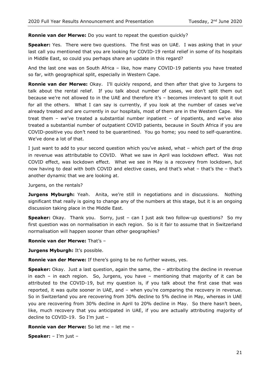#### **Ronnie van der Merwe:** Do you want to repeat the question quickly?

**Speaker:** Yes. There were two questions. The first was on UAE. I was asking that in your last call you mentioned that you are looking for COVID-19 rental relief in some of its hospitals in Middle East, so could you perhaps share an update in this regard?

And the last one was on South Africa – like, how many COVID-19 patients you have treated so far, with geographical split, especially in Western Cape.

**Ronnie van der Merwe:** Okay. I'll quickly respond, and then after that give to Jurgens to talk about the rental relief. If you talk about number of cases, we don't split them out because we're not allowed to in the UAE and therefore it's – becomes irrelevant to split it out for all the others. What I can say is currently, if you look at the number of cases we've already treated and are currently in our hospitals, most of them are in the Western Cape. We treat them – we've treated a substantial number inpatient – of inpatients, and we've also treated a substantial number of outpatient COVID patients, because in South Africa if you are COVID-positive you don't need to be quarantined. You go home; you need to self-quarantine. We've done a lot of that.

I just want to add to your second question which you've asked, what – which part of the drop in revenue was attributable to COVID. What we saw in April was lockdown effect. Was not COVID effect, was lockdown effect. What we see in May is a recovery from lockdown, but now having to deal with both COVID and elective cases, and that's what – that's the – that's another dynamic that we are looking at.

Jurgens, on the rentals?

**Jurgens Myburgh:** Yeah. Anita, we're still in negotiations and in discussions. Nothing significant that really is going to change any of the numbers at this stage, but it is an ongoing discussion taking place in the Middle East.

**Speaker:** Okay. Thank you. Sorry, just – can I just ask two follow-up questions? So my first question was on normalisation in each region. So is it fair to assume that in Switzerland normalisation will happen sooner than other geographies?

**Ronnie van der Merwe:** That's –

**Jurgens Myburgh:** It's possible.

**Ronnie van der Merwe:** If there's going to be no further waves, yes.

**Speaker:** Okay. Just a last question, again the same, the – attributing the decline in revenue in each – in each region. So, Jurgens, you have – mentioning that majority of it can be attributed to the COVID-19, but my question is, if you talk about the first case that was reported, it was quite sooner in UAE, and – when you're comparing the recovery in revenue. So in Switzerland you are recovering from 30% decline to 5% decline in May, whereas in UAE you are recovering from 30% decline in April to 20% decline in May. So there hasn't been, like, much recovery that you anticipated in UAE, if you are actually attributing majority of decline to COVID-19. So I'm just –

**Ronnie van der Merwe:** So let me – let me –

**Speaker:** – I'm just –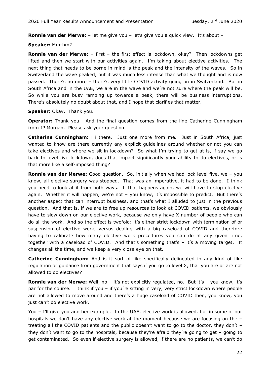**Ronnie van der Merwe:** – let me give you – let's give you a quick view. It's about –

#### **Speaker:** Mm-hm?

**Ronnie van der Merwe:** – first – the first effect is lockdown, okay? Then lockdowns get lifted and then we start with our activities again. I'm taking about elective activities. The next thing that needs to be borne in mind is the peak and the intensity of the waves. So in Switzerland the wave peaked, but it was much less intense than what we thought and is now passed. There's no more – there's very little COVID activity going on in Switzerland. But in South Africa and in the UAE, we are in the wave and we're not sure where the peak will be. So while you are busy ramping up towards a peak, there will be business interruptions. There's absolutely no doubt about that, and I hope that clarifies that matter.

**Speaker:** Okay. Thank you.

**Operator:** Thank you. And the final question comes from the line Catherine Cunningham from JP Morgan. Please ask your question.

**Catherine Cunningham:** Hi there. Just one more from me. Just in South Africa, just wanted to know are there currently any explicit guidelines around whether or not you can take electives and where we sit in lockdown? So what I'm trying to get at is, if say we go back to level five lockdown, does that impact significantly your ability to do electives, or is that more like a self-imposed thing?

**Ronnie van der Merwe:** Good question. So, initially when we had lock level five, we – you know, all elective surgery was stopped. That was an imperative, it had to be done. I think you need to look at it from both ways. If that happens again, we will have to stop elective again. Whether it will happen, we're not – you know, it's impossible to predict. But there's another aspect that can interrupt business, and that's what I alluded to just in the previous question. And that is, if we are to free up resources to look at COVID patients, we obviously have to slow down on our elective work, because we only have X number of people who can do all the work. And so the effect is twofold: it's either strict lockdown with termination of or suspension of elective work, versus dealing with a big caseload of COVID and therefore having to calibrate how many elective work procedures you can do at any given time, together with a caseload of COVID. And that's something that's – it's a moving target. It changes all the time, and we keep a very close eye on that.

**Catherine Cunningham:** And is it sort of like specifically delineated in any kind of like regulation or guidance from government that says if you go to level X, that you are or are not allowed to do electives?

**Ronnie van der Merwe:** Well, no – it's not explicitly regulated, no. But it's – you know, it's par for the course. I think if you – if you're sitting in very, very strict lockdown where people are not allowed to move around and there's a huge caseload of COVID then, you know, you just can't do elective work.

You – I'll give you another example. In the UAE, elective work is allowed, but in some of our hospitals we don't have any elective work at the moment because we are focusing on the – treating all the COVID patients and the public doesn't want to go to the doctor, they don't – they don't want to go to the hospitals, because they're afraid they're going to get – going to get contaminated. So even if elective surgery is allowed, if there are no patients, we can't do